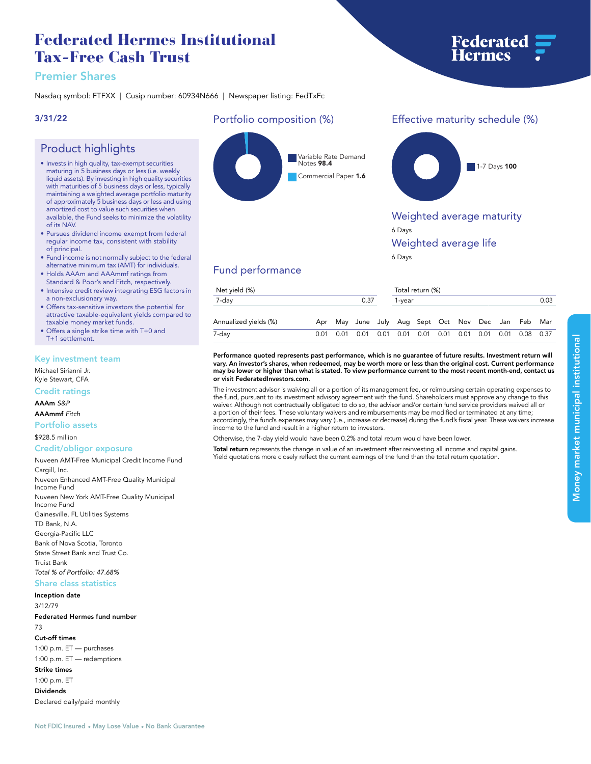## **Federated Hermes Institutional Tax-Free Cash Trust**

## **Premier Shares**

**Product highlights**

**• Invests in high quality, tax-exempt securities maturing in 5 business days or less (i.e. weekly liquid assets). By investing in high quality securities with maturities of 5 business days or less, typically maintaining a weighted average portfolio maturity of approximately 5 business days or less and using amortized cost to value such securities when available, the Fund seeks to minimize the volatility** 

**• Pursues dividend income exempt from federal regular income tax, consistent with stability** 

**• Fund income is not normally subject to the federal alternative minimum tax (AMT) for individuals. • Holds AAAm and AAAmmf ratings from Standard & Poor's and Fitch, respectively. • Intensive credit review integrating ESG factors in** 

**• Offers tax-sensitive investors the potential for attractive taxable-equivalent yields compared to** 

**Nasdaq symbol: FTFXX | Cusip number: 60934N666 | Newspaper listing: FedTxFc**

#### **3/31/22**

**of its NAV.**

**of principal.**

# **Portfolio composition (%)**



## **Effective maturity schedule (%)**

**Federated<br>Hermes** 



### **Weighted average maturity**

**6 Days**

#### **Weighted average life**

**6 Days**

## **Fund performance**

| Net yield (%)         |      |  |                                                                  |  |                | Total return (%) |  |  |  |  |  |  |
|-----------------------|------|--|------------------------------------------------------------------|--|----------------|------------------|--|--|--|--|--|--|
| 7-day                 | 0.37 |  |                                                                  |  | 0.03<br>1-vear |                  |  |  |  |  |  |  |
| Annualized yields (%) |      |  | Apr May June July Aug Sept Oct Nov Dec Jan Feb Mar               |  |                |                  |  |  |  |  |  |  |
| 7-day                 | 0.01 |  | 0.01  0.01  0.01  0.01  0.01  0.01  0.01  0.01  0.01  0.08  0.37 |  |                |                  |  |  |  |  |  |  |

#### **Performance quoted represents past performance, which is no guarantee of future results. Investment return will vary. An investor's shares, when redeemed, may be worth more or less than the original cost. Current performance may be lower or higher than what is stated. To view performance current to the most recent month-end, contact us or visit [FederatedInvestors.com.](www.federatedinvestors.com)**

**The investment advisor is waiving all or a portion of its management fee, or reimbursing certain operating expenses to the fund, pursuant to its investment advisory agreement with the fund. Shareholders must approve any change to this waiver. Although not contractually obligated to do so, the advisor and/or certain fund service providers waived all or a portion of their fees. These voluntary waivers and reimbursements may be modified or terminated at any time; accordingly, the fund's expenses may vary (i.e., increase or decrease) during the fund's fiscal year. These waivers increase income to the fund and result in a higher return to investors.**

**Otherwise, the 7-day yield would have been 0.2% and total return would have been lower.**

**Total return represents the change in value of an investment after reinvesting all income and capital gains. Yield quotations more closely reflect the current earnings of the fund than the total return quotation.**

#### **Key investment team**

**a non-exclusionary way.**

**taxable money market funds. • Offers a single strike time with T+0 and** 

**Michael Sirianni Jr. Kyle Stewart, CFA**

**T+1 settlement.**

#### **Credit ratings**

**AAAm** *S&P*

#### **AAAmmf** *Fitch*

**Portfolio assets**

**\$928.5 million**

#### **Credit/obligor exposure**

**Nuveen AMT-Free Municipal Credit Income Fund Cargill, Inc. Nuveen Enhanced AMT-Free Quality Municipal Income Fund Nuveen New York AMT-Free Quality Municipal Income Fund Gainesville, FL Utilities Systems TD Bank, N.A. Georgia-Pacific LLC Bank of Nova Scotia, Toronto State Street Bank and Trust Co. Truist Bank** *Total % of Portfolio: 47.68%*

## **Share class statistics**

## **Inception date**

**3/12/79 Federated Hermes fund number 73 Cut-off times**

**1:00 p.m. ET — purchases 1:00 p.m. ET — redemptions Strike times 1:00 p.m. ET Dividends Declared daily/paid monthly**